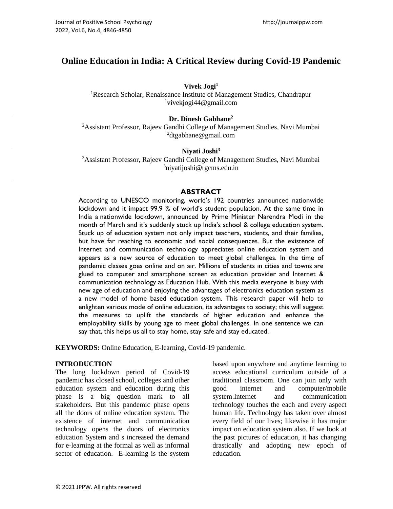# **Online Education in India: A Critical Review during Covid-19 Pandemic**

### **Vivek Jogi<sup>1</sup>**

<sup>1</sup>Research Scholar, Renaissance Institute of Management Studies, Chandrapur  $1$ vivekjogi $44@$ gmail.com

### **Dr. Dinesh Gabhane<sup>2</sup>**

<sup>2</sup> Assistant Professor, Rajeev Gandhi College of Management Studies, Navi Mumbai <sup>2</sup>dtgabhane@gmail.com

### **Niyati Joshi<sup>3</sup>**

<sup>3</sup>Assistant Professor, Rajeev Gandhi College of Management Studies, Navi Mumbai <sup>3</sup>niyatijoshi@rgcms.edu.in

#### **ABSTRACT**

According to UNESCO monitoring, world's 192 countries announced nationwide lockdown and it impact 99.9 % of world's student population. At the same time in India a [nationwide lockdown,](https://edition.cnn.com/2020/03/24/asia/india-lockdown-coronavirus-intl/index.html) announced by Prime Minister Narendra Modi in the month of March and it's suddenly stuck up India's school & college education system. Stuck up of education system not only impact teachers, students, and their families, but have far reaching to economic and social consequences. But the existence of Internet and communication technology appreciates online education system and appears as a new source of education to meet global challenges. In the time of pandemic classes goes online and on air. Millions of students in cities and towns are glued to computer and smartphone screen as education provider and Internet & communication technology as Education Hub. With this media everyone is busy with new age of education and enjoying the advantages of electronics education system as a new model of home based education system. This research paper will help to enlighten various mode of online education, its advantages to society; this will suggest the measures to uplift the standards of higher education and enhance the employability skills by young age to meet global challenges. In one sentence we can say that, this helps us all to stay home, stay safe and stay educated.

**KEYWORDS:** Online Education, E-learning, Covid-19 pandemic.

### **INTRODUCTION**

The long lockdown period of Covid-19 pandemic has closed school, colleges and other education system and education during this phase is a big question mark to all stakeholders. But this pandemic phase opens all the doors of online education system. The existence of internet and communication technology opens the doors of electronics education System and s increased the demand for e-learning at the formal as well as informal sector of education. E-learning is the system based upon anywhere and anytime learning to access educational curriculum outside of a traditional classroom. One can join only with good internet and computer/mobile system.Internet and communication technology touches the each and every aspect human life. Technology has taken over almost every field of our lives; likewise it has major impact on education system also. If we look at the past pictures of education, it has changing drastically and adopting new epoch of education.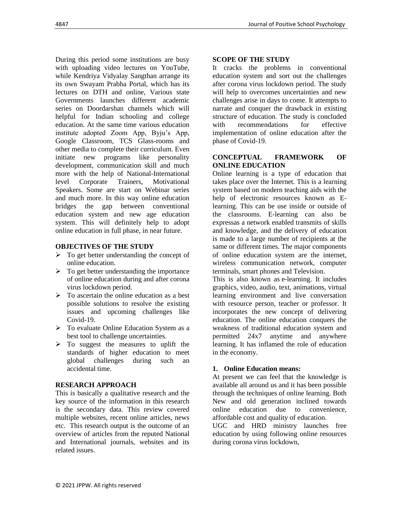During this period some institutions are busy with uploading video lectures on YouTube, while Kendriya Vidyalay Sangthan arrange its its own Swayam Prabha Portal, which has its lectures on DTH and online, Various state Governments launches different academic series on Doordarshan channels which will helpful for Indian schooling and college education. At the same time various education institute adopted Zoom App, Byju's App, Google Classroom, TCS Glass-rooms and other media to complete their curriculum. Even initiate new programs like personality development, communication skill and much more with the help of National-International level Corporate Trainers, Motivational Speakers. Some are start on Webinar series and much more. In this way online education bridges the gap between conventional education system and new age education system. This will definitely help to adopt online education in full phase, in near future.

### **OBJECTIVES OF THE STUDY**

- $\triangleright$  To get better understanding the concept of online education.
- $\triangleright$  To get better understanding the importance of online education during and after corona virus lockdown period.
- $\triangleright$  To ascertain the online education as a best possible solutions to resolve the existing issues and upcoming challenges like Covid-19.
- ➢ To evaluate Online Education System as a best tool to challenge uncertainties.
- $\triangleright$  To suggest the measures to uplift the standards of higher education to meet global challenges during such an accidental time.

# **RESEARCH APPROACH**

This is basically a qualitative research and the key source of the information in this research is the secondary data. This review covered multiple websites, recent online articles, news etc. This research output is the outcome of an overview of articles from the reputed National and International journals, websites and its related issues.

# **SCOPE OF THE STUDY**

It cracks the problems in conventional education system and sort out the challenges after corona virus lockdown period. The study will help to overcomes uncertainties and new challenges arise in days to come. It attempts to narrate and conquer the drawback in existing structure of education. The study is concluded with recommendations for effective implementation of online education after the phase of Covid-19.

### **CONCEPTUAL FRAMEWORK OF ONLINE EDUCATION**

Online learning is a type of education that takes place over the Internet. This is a learning system based on modern teaching aids with the help of electronic resources known as Elearning. This can be use inside or outside of the classrooms. E-learning can also be expressas a network enabled transmits of skills and knowledge, and the delivery of education is made to a large number of recipients at the same or different times. The major components of online education system are the internet, wireless communication network, computer terminals, smart phones and Television.

This is also known as e-learning. It includes graphics, video, audio, text, animations, virtual learning environment and live conversation with resource person, teacher or professor. It incorporates the new concept of delivering education. The online education conquers the weakness of traditional education system and permitted 24x7 anytime and anywhere learning. It has inflamed the role of education in the economy.

# **1. Online Education means:**

At present we can feel that the knowledge is available all around us and it has been possible through the techniques of online learning. Both New and old generation inclined towards online education due to convenience, affordable cost and quality of education.

UGC and HRD ministry launches free education by using following online resources during corona virus lockdown,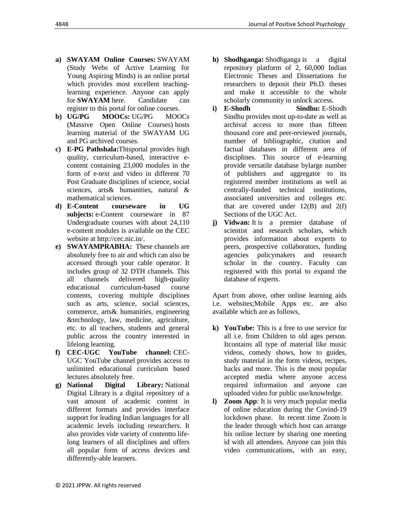- 
- **a) SWAYAM Online Courses:** SWAYAM (Study Webs of Active Learning for Young Aspiring Minds) is an online portal which provides most excellent teachinglearning experience. Anyone can apply for **SWAYAM** here. Candidate can register to this portal for online courses.
- **b) UG/PG MOOCs:** [UG/PG MOOCs](http://ugcmoocs.inflibnet.ac.in/ugcmoocs/moocs_courses.php) (Massive Open Online Courses) hosts learning material of the SWAYAM UG and PG archived courses.
- **c) E-PG Pathshala:**Thisportal provides high quality, curriculum-based, interactive econtent containing 23,000 modules in the form of e-text and video in different 70 Post Graduate disciplines of science, social sciences, arts& humanities, natural & mathematical sciences.
- **d) E-Content courseware in UG subjects:** e-Content courseware in 87 Undergraduate courses with about 24,110 e-content modules is available on the CEC website at [http://cec.nic.in/.](http://cec.nic.in/cec/)
- **e) SWAYAMPRABHA:** These channels are absolutely free to air and which can also be accessed through your cable operator. It includes group of 32 DTH channels. This all channels delivered high-quality educational curriculum-based course contents, covering multiple disciplines such as arts, science, social sciences, commerce, arts& humanities, engineering &technology, law, medicine, agriculture, etc. to all teachers, students and general public across the country interested in lifelong learning.
- **f) CEC-UGC YouTube channel:** [CEC-](https://www.youtube.com/user/cecedusat)[UGC YouTube channel](https://www.youtube.com/user/cecedusat) provides access to unlimited educational curriculum based lectures absolutely free.
- **g) National Digital Library:** [National](https://ndl.iitkgp.ac.in/)  [Digital Library](https://ndl.iitkgp.ac.in/) is a digital repository of a vast amount of academic content in different formats and provides interface support for leading Indian languages for all academic levels including researchers. It also provides vide variety of contentto lifelong learners of all disciplines and offers all popular form of access devices and differently-able learners.
- **h) Shodhganga:** [Shodhganga](https://shodhganga.inflibnet.ac.in/) is a digital repository platform of 2, 60,000 Indian Electronic Theses and Dissertations for researchers to deposit their Ph.D. theses and make it accessible to the whole scholarly community in unlock access.
- **i) E-Shodh Sindhu:** [E-Shodh](https://ess.inflibnet.ac.in/)  [Sindhu](https://ess.inflibnet.ac.in/) provides most up-to-date as well as archival access to more than fifteen thousand core and peer-reviewed journals, number of bibliographic, citation and factual databases in different area of disciplines. This source of e-learning provide versatile database bylarge number of publishers and aggregator to its registered member institutions as well as centrally-funded technical institutions, associated universities and colleges etc. that are covered under  $12(B)$  and  $2(f)$ Sections of the UGC Act.
- **j) Vidwan:** [It](https://vidwan.inflibnet.ac.in/) is a premier database of scientist and research scholars, which provides information about experts to peers, prospective collaborators, funding agencies policymakers and research scholar in the country. Faculty can registered with this portal to expand the database of experts.

Apart from above, other online learning aids i.e. websites;Mobile Apps etc. are also available which are as follows,

- **k) YouTube:** This is a free to use service for all i.e. from Children to old ages person. Itcontains all type of material like music videos, comedy shows, how to guides, study material in the form videos, recipes, hacks and more. This is the most popular accepted media where anyone access required information and anyone can uploaded video for public use/knowledge.
- **l) Zoom App**: It is very much popular media of online education during the Covind-19 lockdown phase. In recent time Zoom is the leader through which host can arrange his online lecture by sharing one meeting id with all attendees. Anyone can join this video communications, with an easy,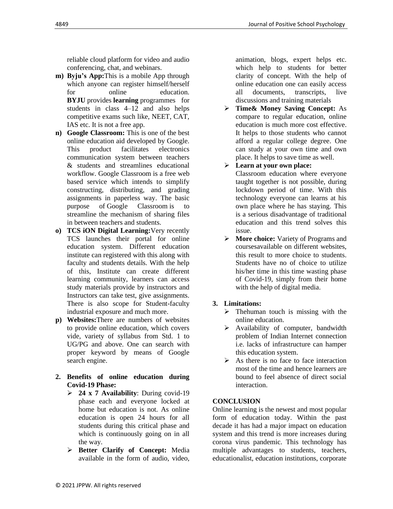reliable cloud platform for video and audio conferencing, chat, and webinars.

- **m) Byju's App:**This is a mobile App through which anyone can register himself/herself for online education. **BYJU** provides **learning** programmes for students in class 4–12 and also helps competitive exams such like, NEET, CAT, IAS etc. It is not a free app.
- **n) Google Classroom:** This is one of the best online education aid developed by Google. This product facilitates electronics communication system between teachers & students and streamlines educational workflow. Google Classroom is a free web based service which intends to simplify constructing, distributing, and grading assignments in paperless way. The basic purpose of Google Classroom is to streamline the mechanism of sharing files in between teachers and students.
- **o) TCS iON Digital Learning:**Very recently TCS launches their portal for online education system. Different education institute can registered with this along with faculty and students details. With the help of this, Institute can create different learning community, learners can access study materials provide by instructors and Instructors can take test, give assignments. There is also scope for Student-faculty industrial exposure and much more.
- **p) Websites:**There are numbers of websites to provide online education, which covers vide, variety of syllabus from Std. 1 to UG/PG and above. One can search with proper keyword by means of Google search engine.
- **2. Benefits of online education during Covid-19 Phase:** 
	- ➢ **24 x 7 Availability**: During covid-19 phase each and everyone locked at home but education is not. As online education is open 24 hours for all students during this critical phase and which is continuously going on in all the way.
	- ➢ **Better Clarify of Concept:** Media available in the form of audio, video,

animation, blogs, expert helps etc. which help to students for better clarity of concept. With the help of online education one can easily access all documents, transcripts, live discussions and training materials

➢ **Time& Money Saving Concept:** As compare to regular education, online education is much more cost effective. It helps to those students who cannot afford a regular college degree. One can study at your own time and own place. It helps to save time as well.

➢ **Learn at your own place:**

Classroom education where everyone taught together is not possible, during lockdown period of time. With this technology everyone can learns at his own place where he has staying. This is a serious disadvantage of traditional education and this trend solves this issue.

➢ **More choice:** Variety of Programs and coursesavailable on different websites, this result to more choice to students. Students have no of choice to utilize his/her time in this time wasting phase of Covid-19, simply from their home with the help of digital media.

### **3. Limitations:**

- $\triangleright$  Thehuman touch is missing with the online education.
- ➢ Availability of computer, bandwidth problem of Indian Internet connection i.e. lacks of infrastructure can hamper this education system.
- $\triangleright$  As there is no face to face interaction most of the time and hence learners are bound to feel absence of direct social interaction.

### **CONCLUSION**

Online learning is the newest and most popular form of education today. Within the past decade it has had a major impact on education system and this trend is more increases during corona virus pandemic. This technology has multiple advantages to students, teachers, educationalist, education institutions, corporate